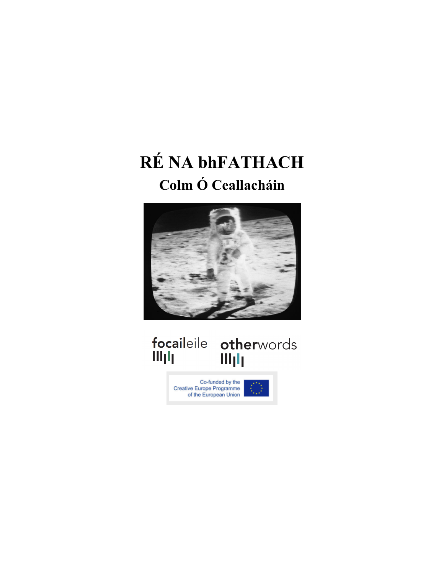## **RÉ NA bhFATHACH Colm Ó Ceallacháin**



## 

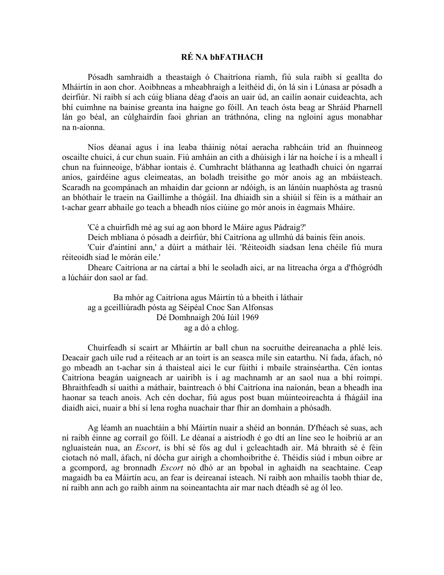## **RÉ NA bhFATHACH**

Pósadh samhraidh a theastaigh ó Chaitríona riamh, fiú sula raibh sí geallta do Mháirtín in aon chor. Aoibhneas a mheabhraigh a leithéid di, ón lá sin i Lúnasa ar pósadh a deirfiúr. Ní raibh sí ach cúig bliana déag d'aois an uair úd, an cailín aonair cuideachta, ach bhí cuimhne na bainise greanta ina haigne go fóill. An teach ósta beag ar Shráid Pharnell lán go béal, an cúlghairdín faoi ghrian an tráthnóna, cling na ngloiní agus monabhar na n-aíonna.

Níos déanaí agus í ina leaba tháinig nótaí aeracha rabhcáin tríd an fhuinneog oscailte chuici, á cur chun suain. Fiú amháin an cith a dhúisigh i lár na hoíche í is a mheall í chun na fuinneoige, b'ábhar iontais é. Cumhracht bláthanna ag leathadh chuici ón ngarraí aníos, gairdéine agus cleimeatas, an boladh treisithe go mór anois ag an mbáisteach. Scaradh na gcompánach an mhaidin dar gcionn ar ndóigh, is an lánúin nuaphósta ag trasnú an bhóthair le traein na Gaillimhe a thógáil. Ina dhiaidh sin a shiúil sí féin is a máthair an t-achar gearr abhaile go teach a bheadh níos ciúine go mór anois in éagmais Mháire.

'Cé a chuirfidh mé ag suí ag aon bhord le Máire agus Pádraig?'

Deich mbliana ó pósadh a deirfiúr, bhí Caitríona ag ullmhú dá bainis féin anois.

'Cuir d'aintíní ann,' a dúirt a máthair léi. 'Réiteoidh siadsan lena chéile fiú mura réiteoidh siad le mórán eile.'

Dhearc Caitríona ar na cártaí a bhí le seoladh aici, ar na litreacha órga a d'fhógródh a lúcháir don saol ar fad.

Ba mhór ag Caitríona agus Máirtín tú a bheith i láthair ag a gceilliúradh pósta ag Séipéal Cnoc San Alfonsas Dé Domhnaigh 20ú Iúil 1969 ag a dó a chlog.

Chuirfeadh sí scairt ar Mháirtín ar ball chun na socruithe deireanacha a phlé leis. Deacair gach uile rud a réiteach ar an toirt is an seasca míle sin eatarthu. Ní fada, áfach, nó go mbeadh an t-achar sin á thaisteal aici le cur fúithi i mbaile strainséartha. Cén iontas Caitríona beagán uaigneach ar uairibh is í ag machnamh ar an saol nua a bhí roimpi. Bhraithfeadh sí uaithi a máthair, baintreach ó bhí Caitríona ina naíonán, bean a bheadh ina haonar sa teach anois. Ach cén dochar, fiú agus post buan múinteoireachta á fhágáil ina diaidh aici, nuair a bhí sí lena rogha nuachair thar fhir an domhain a phósadh.

Ag léamh an nuachtáin a bhí Máirtín nuair a shéid an bonnán. D'fhéach sé suas, ach ní raibh éinne ag corraíl go fóill. Le déanaí a aistríodh é go dtí an líne seo le hoibriú ar an ngluaisteán nua, an *Escort*, is bhí sé fós ag dul i gcleachtadh air. Má bhraith sé é féin ciotach nó mall, áfach, ní dócha gur airigh a chomhoibrithe é. Théidís siúd i mbun oibre ar a gcompord, ag bronnadh *Escort* nó dhó ar an bpobal in aghaidh na seachtaine. Ceap magaidh ba ea Máirtín acu, an fear is deireanaí isteach. Ní raibh aon mhailís taobh thiar de, ní raibh ann ach go raibh ainm na soineantachta air mar nach dtéadh sé ag ól leo.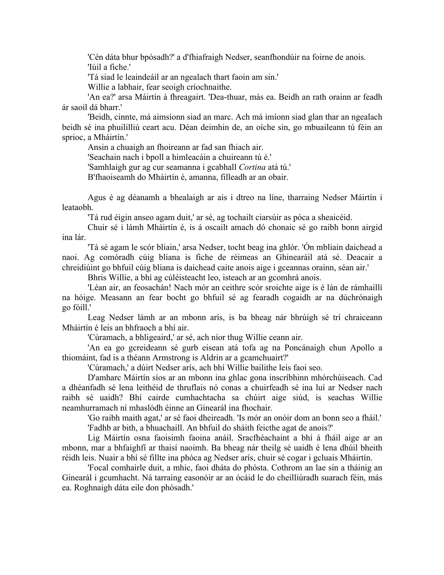'Cén dáta bhur bpósadh?' a d'fhiafraigh Nedser, seanfhondúir na foirne de anois. 'Iúil a fiche.'

'Tá siad le leaindeáil ar an ngealach thart faoin am sin.'

Willie a labhair, fear seoigh críochnaithe.

'An ea?' arsa Máirtín á fhreagairt. 'Dea-thuar, más ea. Beidh an rath orainn ar feadh ár saoil dá bharr.'

'Beidh, cinnte, má aimsíonn siad an marc. Ach má imíonn siad glan thar an ngealach beidh sé ina phuililliú ceart acu. Déan deimhin de, an oíche sin, go mbuaileann tú féin an sprioc, a Mháirtín.'

Ansin a chuaigh an fhoireann ar fad san fhiach air.

'Seachain nach i bpoll a himleacáin a chuireann tú é.'

'Samhlaigh gur ag cur seamanna i gcabhall *Cortina* atá tú.'

B'fhaoiseamh do Mháirtín é, amanna, filleadh ar an obair.

Agus é ag déanamh a bhealaigh ar ais i dtreo na líne, tharraing Nedser Máirtín i leataobh.

'Tá rud éigin anseo agam duit,' ar sé, ag tochailt ciarsúir as póca a sheaicéid.

Chuir sé i lámh Mháirtín é, is á oscailt amach dó chonaic sé go raibh bonn airgid ina lár.

'Tá sé agam le scór bliain,' arsa Nedser, tocht beag ina ghlór. 'Ón mbliain daichead a naoi. Ag comóradh cúig bliana is fiche de réimeas an Ghinearáil atá sé. Deacair a chreidiúint go bhfuil cúig bliana is daichead caite anois aige i gceannas orainn, séan air.'

Bhris Willie, a bhí ag cúléisteacht leo, isteach ar an gcomhrá anois.

'Léan air, an feosachán! Nach mór an ceithre scór sroichte aige is é lán de rámhaillí na hóige. Measann an fear bocht go bhfuil sé ag fearadh cogaidh ar na dúchrónaigh go fóill.'

Leag Nedser lámh ar an mbonn arís, is ba bheag nár bhrúigh sé trí chraiceann Mháirtín é leis an bhfraoch a bhí air.

'Cúramach, a bhligeaird,' ar sé, ach níor thug Willie ceann air.

'An ea go gcreideann sé gurb eisean atá tofa ag na Poncánaigh chun Apollo a thiomáint, fad is a théann Armstrong is Aldrin ar a gcamchuairt?'

'Cúramach,' a dúirt Nedser arís, ach bhí Willie bailithe leis faoi seo.

D'amharc Máirtín síos ar an mbonn ina ghlac gona inscríbhinn mhórchúiseach. Cad a dhéanfadh sé lena leithéid de thruflais nó conas a chuirfeadh sé ina luí ar Nedser nach raibh sé uaidh? Bhí cairde cumhachtacha sa chúirt aige siúd, is seachas Willie neamhurramach ní mhaslódh éinne an Ginearál ina fhochair.

'Go raibh maith agat,' ar sé faoi dheireadh. 'Is mór an onóir dom an bonn seo a fháil.' 'Fadhb ar bith, a bhuachaill. An bhfuil do sháith feicthe agat de anois?'

Lig Máirtín osna faoisimh faoina anáil. Sracfhéachaint a bhí á fháil aige ar an mbonn, mar a bhfaighfí ar thaisí naoimh. Ba bheag nár theilg sé uaidh é lena dhúil bheith réidh leis. Nuair a bhí sé fillte ina phóca ag Nedser arís, chuir sé cogar i gcluais Mháirtín.

'Focal comhairle duit, a mhic, faoi dháta do phósta. Cothrom an lae sin a tháinig an Ginearál i gcumhacht. Ná tarraing easonóir ar an ócáid le do cheilliúradh suarach féin, más ea. Roghnaigh dáta eile don phósadh.'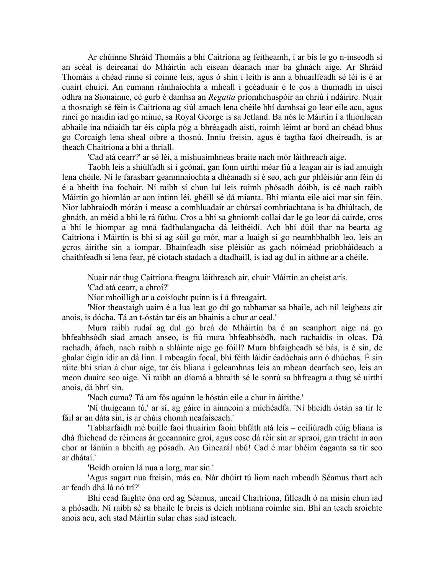Ar chúinne Shráid Thomáis a bhí Caitríona ag feitheamh, í ar bís le go n-inseodh sí an scéal is deireanaí do Mháirtín ach eisean déanach mar ba ghnách aige. Ar Shráid Thomáis a chéad rinne sí coinne leis, agus ó shin i leith is ann a bhuailfeadh sé léi is é ar cuairt chuici. An cumann rámhaíochta a mheall i gcéaduair é le cos a thumadh in uiscí odhra na Sionainne, cé gurb é damhsa an *Regatta* príomhchuspóir an chriú i ndáiríre. Nuair a thosnaigh sé féin is Caitríona ag siúl amach lena chéile bhí damhsaí go leor eile acu, agus rincí go maidin iad go minic, sa Royal George is sa Jetland. Ba nós le Máirtín í a thionlacan abhaile ina ndiaidh tar éis cúpla póg a bhréagadh aisti, roimh léimt ar bord an chéad bhus go Corcaigh lena sheal oibre a thosnú. Inniu freisin, agus é tagtha faoi dheireadh, is ar theach Chaitríona a bhí a thriall.

'Cad atá cearr?' ar sé léi, a míshuaimhneas braite nach mór láithreach aige.

Taobh leis a shiúlfadh sí i gcónaí, gan fonn uirthi méar fiú a leagan air is iad amuigh lena chéile. Ní le farasbarr geanmnaíochta a dhéanadh sí é seo, ach gur phléisiúr ann féin di é a bheith ina fochair. Ní raibh sí chun luí leis roimh phósadh dóibh, is cé nach raibh Máirtín go hiomlán ar aon intinn léi, ghéill sé dá mianta. Bhí mianta eile aici mar sin féin. Níor labhraíodh mórán i measc a comhluadair ar chúrsaí comhriachtana is ba dhiúltach, de ghnáth, an méid a bhí le rá fúthu. Cros a bhí sa ghníomh collaí dar le go leor dá cairde, cros a bhí le hiompar ag mná fadfhulangacha dá leithéidí. Ach bhí dúil thar na bearta ag Caitríona i Máirtín is bhí sí ag súil go mór, mar a luaigh sí go neamhbhalbh leo, leis an gcros áirithe sin a iompar. Bhainfeadh sise pléisiúr as gach nóiméad príobháideach a chaithfeadh sí lena fear, pé ciotach stadach a dtadhaill, is iad ag dul in aithne ar a chéile.

Nuair nár thug Caitríona freagra láithreach air, chuir Máirtín an cheist arís.

'Cad atá cearr, a chroí?'

Níor mhoilligh ar a coisíocht puinn is í á fhreagairt.

'Níor theastaigh uaim é a lua leat go dtí go rabhamar sa bhaile, ach níl leigheas air anois, is dócha. Tá an t-óstán tar éis an bhainis a chur ar ceal.'

Mura raibh rudaí ag dul go breá do Mháirtín ba é an seanphort aige ná go bhfeabhsódh siad amach anseo, is fiú mura bhfeabhsódh, nach rachaidís in olcas. Dá rachadh, áfach, nach raibh a shláinte aige go fóill? Mura bhfaigheadh sé bás, is é sin, de ghalar éigin idir an dá linn. I mbeagán focal, bhí féith láidir éadóchais ann ó dhúchas. É sin ráite bhí srian á chur aige, tar éis bliana i gcleamhnas leis an mbean dearfach seo, leis an meon duairc seo aige. Ní raibh an díomá a bhraith sé le sonrú sa bhfreagra a thug sé uirthi anois, dá bhrí sin.

'Nach cuma? Tá am fós againn le hóstán eile a chur in áirithe.'

'Ní thuigeann tú,' ar sí, ag gáire in ainneoin a míchéadfa. 'Ní bheidh óstán sa tír le fáil ar an dáta sin, is ar chúis chomh neafaiseach.'

'Tabharfaidh mé buille faoi thuairim faoin bhfáth atá leis – ceiliúradh cúig bliana is dhá fhichead de réimeas ár gceannaire groí, agus cosc dá réir sin ar spraoi, gan trácht in aon chor ar lánúin a bheith ag pósadh. An Ginearál abú! Cad é mar bhéim éaganta sa tír seo ar dhátaí<sup>'</sup>

'Beidh orainn lá nua a lorg, mar sin.'

'Agus sagart nua freisin, más ea. Nár dhúirt tú liom nach mbeadh Séamus thart ach ar feadh dhá lá nó trí?'

Bhí cead faighte óna ord ag Séamus, uncail Chaitríona, filleadh ó na misin chun iad a phósadh. Ní raibh sé sa bhaile le breis is deich mbliana roimhe sin. Bhí an teach sroichte anois acu, ach stad Máirtín sular chas siad isteach.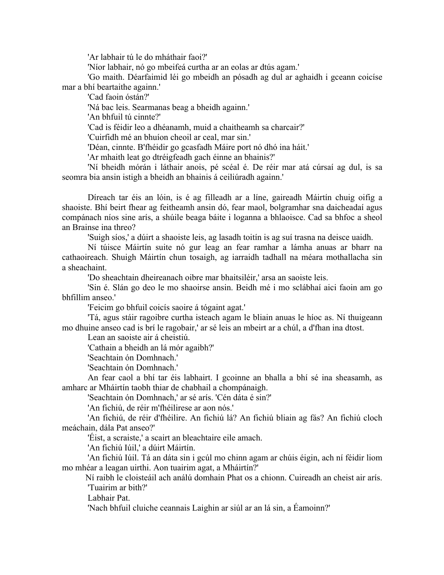'Ar labhair tú le do mháthair faoi?'

'Níor labhair, nó go mbeifeá curtha ar an eolas ar dtús agam.'

'Go maith. Déarfaimid léi go mbeidh an pósadh ag dul ar aghaidh i gceann coicíse mar a bhí beartaithe againn.'

'Cad faoin óstán?'

'Ná bac leis. Searmanas beag a bheidh againn.'

'An bhfuil tú cinnte?'

'Cad is féidir leo a dhéanamh, muid a chaitheamh sa charcair?'

'Cuirfidh mé an bhuíon cheoil ar ceal, mar sin.'

'Déan, cinnte. B'fhéidir go gcasfadh Máire port nó dhó ina háit.'

'Ar mhaith leat go dtréigfeadh gach éinne an bhainis?'

'Ní bheidh mórán i láthair anois, pé scéal é. De réir mar atá cúrsaí ag dul, is sa seomra bia ansin istigh a bheidh an bhainis á ceiliúradh againn.'

Díreach tar éis an lóin, is é ag filleadh ar a líne, gaireadh Máirtín chuig oifig a shaoiste. Bhí beirt fhear ag feitheamh ansin dó, fear maol, bolgramhar sna daicheadaí agus compánach níos sine arís, a shúile beaga báite i loganna a bhlaoisce. Cad sa bhfoc a sheol an Brainse ina threo?

'Suigh síos,' a dúirt a shaoiste leis, ag lasadh toitín is ag suí trasna na deisce uaidh.

Ní túisce Máirtín suite nó gur leag an fear ramhar a lámha anuas ar bharr na cathaoireach. Shuigh Máirtín chun tosaigh, ag iarraidh tadhall na méara mothallacha sin a sheachaint.

'Do sheachtain dheireanach oibre mar bhaitsiléir,' arsa an saoiste leis.

'Sin é. Slán go deo le mo shaoirse ansin. Beidh mé i mo sclábhaí aici faoin am go bhfillim anseo.'

'Feicim go bhfuil coicís saoire á tógaint agat.'

'Tá, agus stáir ragoibre curtha isteach agam le bliain anuas le híoc as. Ní thuigeann mo dhuine anseo cad is brí le ragobair,' ar sé leis an mbeirt ar a chúl, a d'fhan ina dtost.

Lean an saoiste air á cheistiú.

'Cathain a bheidh an lá mór agaibh?'

'Seachtain ón Domhnach.'

'Seachtain ón Domhnach.'

An fear caol a bhí tar éis labhairt. I gcoinne an bhalla a bhí sé ina sheasamh, as amharc ar Mháirtín taobh thiar de chabhail a chompánaigh.

'Seachtain ón Domhnach,' ar sé arís. 'Cén dáta é sin?'

'An fichiú, de réir m'fhéilirese ar aon nós.'

'An fichiú, de réir d'fhéilire. An fichiú lá? An fichiú bliain ag fás? An fichiú cloch meáchain, dála Pat anseo?'

'Éist, a scraiste,' a scairt an bleachtaire eile amach.

'An fichiú Iúil,' a dúirt Máirtín.

'An fichiú Iúil. Tá an dáta sin i gcúl mo chinn agam ar chúis éigin, ach ní féidir liom mo mhéar a leagan uirthi. Aon tuairim agat, a Mháirtín?'

Ní raibh le cloisteáil ach análú domhain Phat os a chionn. Cuireadh an cheist air arís. 'Tuairim ar bith?'

Labhair Pat.

'Nach bhfuil cluiche ceannais Laighin ar siúl ar an lá sin, a Éamoinn?'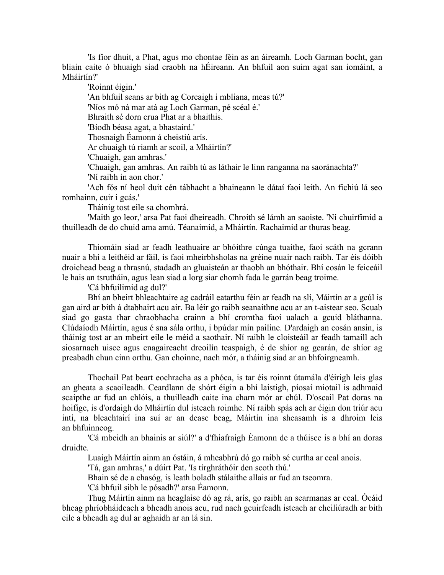'Is fíor dhuit, a Phat, agus mo chontae féin as an áireamh. Loch Garman bocht, gan bliain caite ó bhuaigh siad craobh na hÉireann. An bhfuil aon suim agat san iomáint, a Mháirtín?'

'Roinnt éigin.'

'An bhfuil seans ar bith ag Corcaigh i mbliana, meas tú?'

'Níos mó ná mar atá ag Loch Garman, pé scéal é.'

Bhraith sé dorn crua Phat ar a bhaithis.

'Bíodh béasa agat, a bhastaird.'

Thosnaigh Éamonn á cheistiú arís.

Ar chuaigh tú riamh ar scoil, a Mháirtín?'

'Chuaigh, gan amhras.'

'Chuaigh, gan amhras. An raibh tú as láthair le linn ranganna na saoránachta?' 'Ní raibh in aon chor.'

'Ach fós ní heol duit cén tábhacht a bhaineann le dátaí faoi leith. An fichiú lá seo romhainn, cuir i gcás.'

Tháinig tost eile sa chomhrá.

'Maith go leor,' arsa Pat faoi dheireadh. Chroith sé lámh an saoiste. 'Ní chuirfimid a thuilleadh de do chuid ama amú. Téanaimid, a Mháirtín. Rachaimid ar thuras beag.

Thiomáin siad ar feadh leathuaire ar bhóithre cúnga tuaithe, faoi scáth na gcrann nuair a bhí a leithéid ar fáil, is faoi mheirbhsholas na gréine nuair nach raibh. Tar éis dóibh droichead beag a thrasnú, stadadh an gluaisteán ar thaobh an bhóthair. Bhí cosán le feiceáil le hais an tsrutháin, agus lean siad a lorg siar chomh fada le garrán beag troime.

'Cá bhfuilimid ag dul?'

Bhí an bheirt bhleachtaire ag cadráil eatarthu féin ar feadh na slí, Máirtín ar a gcúl is gan aird ar bith á dtabhairt acu air. Ba léir go raibh seanaithne acu ar an t-aistear seo. Scuab siad go gasta thar chraobhacha crainn a bhí cromtha faoi ualach a gcuid bláthanna. Clúdaíodh Máirtín, agus é sna sála orthu, i bpúdar mín pailine. D'ardaigh an cosán ansin, is tháinig tost ar an mbeirt eile le méid a saothair. Ní raibh le cloisteáil ar feadh tamaill ach siosarnach uisce agus cnagaireacht dreoilín teaspaigh, é de shíor ag gearán, de shíor ag preabadh chun cinn orthu. Gan choinne, nach mór, a tháinig siad ar an bhfoirgneamh.

Thochail Pat beart eochracha as a phóca, is tar éis roinnt útamála d'éirigh leis glas an gheata a scaoileadh. Ceardlann de shórt éigin a bhí laistigh, píosaí miotail is adhmaid scaipthe ar fud an chlóis, a thuilleadh caite ina charn mór ar chúl. D'oscail Pat doras na hoifige, is d'ordaigh do Mháirtín dul isteach roimhe. Ní raibh spás ach ar éigin don triúr acu inti, na bleachtairí ina suí ar an deasc beag, Máirtín ina sheasamh is a dhroim leis an bhfuinneog.

'Cá mbeidh an bhainis ar siúl?' a d'fhiafraigh Éamonn de a thúisce is a bhí an doras druidte.

Luaigh Máirtín ainm an óstáin, á mheabhrú dó go raibh sé curtha ar ceal anois.

'Tá, gan amhras,' a dúirt Pat. 'Is tírghráthóir den scoth thú.'

Bhain sé de a chasóg, is leath boladh stálaithe allais ar fud an tseomra.

'Cá bhfuil sibh le pósadh?' arsa Éamonn.

Thug Máirtín ainm na heaglaise dó ag rá, arís, go raibh an searmanas ar ceal. Ócáid bheag phríobháideach a bheadh anois acu, rud nach gcuirfeadh isteach ar cheiliúradh ar bith eile a bheadh ag dul ar aghaidh ar an lá sin.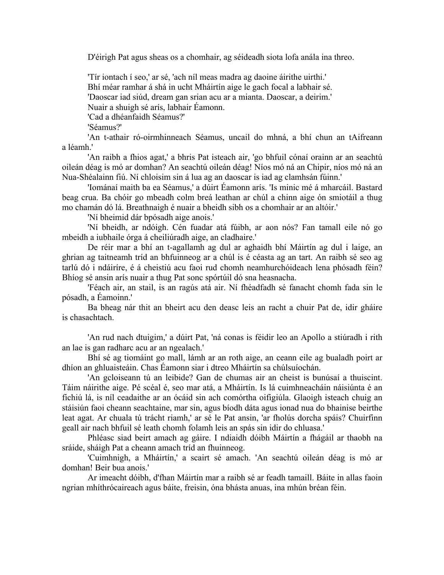D'éirigh Pat agus sheas os a chomhair, ag séideadh siota lofa anála ina threo.

'Tír iontach í seo,' ar sé, 'ach níl meas madra ag daoine áirithe uirthi.' Bhí méar ramhar á shá in ucht Mháirtín aige le gach focal a labhair sé. 'Daoscar iad siúd, dream gan srian acu ar a mianta. Daoscar, a deirim.' Nuair a shuigh sé arís, labhair Éamonn. 'Cad a dhéanfaidh Séamus?'

'Séamus?'

'An t-athair ró-oirmhinneach Séamus, uncail do mhná, a bhí chun an tAifreann a léamh.'

'An raibh a fhios agat,' a bhris Pat isteach air, 'go bhfuil cónaí orainn ar an seachtú oileán déag is mó ar domhan? An seachtú oileán déag! Níos mó ná an Chipir, níos mó ná an Nua-Shéalainn fiú. Ní chloisim sin á lua ag an daoscar is iad ag clamhsán fúinn.'

'Iománaí maith ba ea Séamus,' a dúirt Éamonn arís. 'Is minic mé á mharcáil. Bastard beag crua. Ba chóir go mbeadh colm breá leathan ar chúl a chinn aige ón smiotáil a thug mo chamán dó lá. Breathnaigh é nuair a bheidh sibh os a chomhair ar an altóir.'

'Ní bheimid dár bpósadh aige anois.'

'Ní bheidh, ar ndóigh. Cén fuadar atá fúibh, ar aon nós? Fan tamall eile nó go mbeidh a iubhaile órga á cheiliúradh aige, an cladhaire.'

De réir mar a bhí an t-agallamh ag dul ar aghaidh bhí Máirtín ag dul i laige, an ghrian ag taitneamh tríd an bhfuinneog ar a chúl is é céasta ag an tart. An raibh sé seo ag tarlú dó i ndáiríre, é á cheistiú acu faoi rud chomh neamhurchóideach lena phósadh féin? Bhíog sé ansin arís nuair a thug Pat sonc spórtúil dó sna heasnacha.

'Féach air, an stail, is an ragús atá air. Ní fhéadfadh sé fanacht chomh fada sin le pósadh, a Éamoinn.'

Ba bheag nár thit an bheirt acu den deasc leis an racht a chuir Pat de, idir gháire is chasachtach.

'An rud nach dtuigim,' a dúirt Pat, 'ná conas is féidir leo an Apollo a stiúradh i rith an lae is gan radharc acu ar an ngealach.'

Bhí sé ag tiomáint go mall, lámh ar an roth aige, an ceann eile ag bualadh poirt ar dhíon an ghluaisteáin. Chas Éamonn siar i dtreo Mháirtín sa chúlsuíochán.

'An gcloiseann tú an leibide? Gan de chumas air an cheist is bunúsaí a thuiscint. Táim náirithe aige. Pé scéal é, seo mar atá, a Mháirtín. Is lá cuimhneacháin náisiúnta é an fichiú lá, is níl ceadaithe ar an ócáid sin ach comórtha oifigiúla. Glaoigh isteach chuig an stáisiún faoi cheann seachtaine, mar sin, agus bíodh dáta agus ionad nua do bhainise beirthe leat agat. Ar chuala tú trácht riamh,' ar sé le Pat ansin, 'ar fholús dorcha spáis? Chuirfinn geall air nach bhfuil sé leath chomh folamh leis an spás sin idir do chluasa.'

Phléasc siad beirt amach ag gáire. I ndiaidh dóibh Máirtín a fhágáil ar thaobh na sráide, sháigh Pat a cheann amach tríd an fhuinneog.

'Cuimhnigh, a Mháirtín,' a scairt sé amach. 'An seachtú oileán déag is mó ar domhan! Beir bua anois.'

Ar imeacht dóibh, d'fhan Máirtín mar a raibh sé ar feadh tamaill. Báite in allas faoin ngrian mhíthrócaireach agus báite, freisin, óna bhásta anuas, ina mhún bréan féin.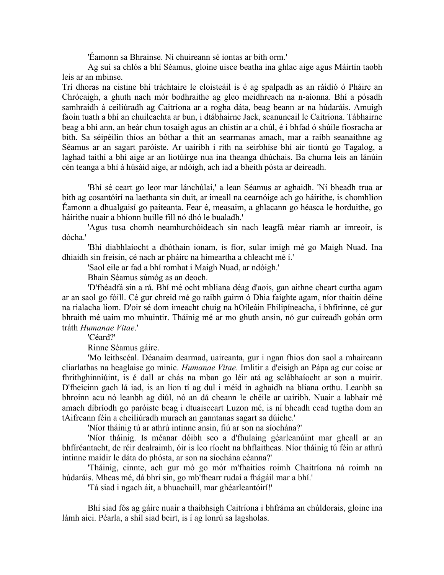'Éamonn sa Bhrainse. Ní chuireann sé iontas ar bith orm.'

Ag suí sa chlós a bhí Séamus, gloine uisce beatha ina ghlac aige agus Máirtín taobh leis ar an mbinse.

Trí dhoras na cistine bhí tráchtaire le cloisteáil is é ag spalpadh as an ráidió ó Pháirc an Chrócaigh, a ghuth nach mór bodhraithe ag gleo meidhreach na n-aíonna. Bhí a pósadh samhraidh á ceiliúradh ag Caitríona ar a rogha dáta, beag beann ar na húdaráis. Amuigh faoin tuath a bhí an chuileachta ar bun, i dtábhairne Jack, seanuncail le Caitríona. Tábhairne beag a bhí ann, an beár chun tosaigh agus an chistin ar a chúl, é i bhfad ó shúile fiosracha ar bith. Sa séipéilín thíos an bóthar a thit an searmanas amach, mar a raibh seanaithne ag Séamus ar an sagart paróiste. Ar uairibh i rith na seirbhíse bhí air tiontú go Tagalog, a laghad taithí a bhí aige ar an liotúirge nua ina theanga dhúchais. Ba chuma leis an lánúin cén teanga a bhí á húsáid aige, ar ndóigh, ach iad a bheith pósta ar deireadh.

'Bhí sé ceart go leor mar lánchúlaí,' a lean Séamus ar aghaidh. 'Ní bheadh trua ar bith ag cosantóirí na laethanta sin duit, ar imeall na cearnóige ach go háirithe, is chomhlíon Éamonn a dhualgaisí go paiteanta. Fear é, measaim, a ghlacann go héasca le horduithe, go háirithe nuair a bhíonn buille fill nó dhó le bualadh.'

'Agus tusa chomh neamhurchóideach sin nach leagfá méar riamh ar imreoir, is dócha.'

'Bhí diabhlaíocht a dhóthain ionam, is fíor, sular imigh mé go Maigh Nuad. Ina dhiaidh sin freisin, cé nach ar pháirc na himeartha a chleacht mé í.'

'Saol eile ar fad a bhí romhat i Maigh Nuad, ar ndóigh.'

Bhain Séamus súmóg as an deoch.

'D'fhéadfá sin a rá. Bhí mé ocht mbliana déag d'aois, gan aithne cheart curtha agam ar an saol go fóill. Cé gur chreid mé go raibh gairm ó Dhia faighte agam, níor thaitin déine na rialacha liom. D'oir sé dom imeacht chuig na hOileáin Fhilipíneacha, i bhfírinne, cé gur bhraith mé uaim mo mhuintir. Tháinig mé ar mo ghuth ansin, nó gur cuireadh gobán orm tráth *Humanae Vitae*.'

'Céard?'

Rinne Séamus gáire.

'Mo leithscéal. Déanaim dearmad, uaireanta, gur i ngan fhios don saol a mhaireann cliarlathas na heaglaise go minic. *Humanae Vitae*. Imlitir a d'eisigh an Pápa ag cur coisc ar fhrithghinniúint, is é dall ar chás na mban go léir atá ag sclábhaíocht ar son a muirir. D'fheicinn gach lá iad, is an líon tí ag dul i méid in aghaidh na bliana orthu. Leanbh sa bhroinn acu nó leanbh ag diúl, nó an dá cheann le chéile ar uairibh. Nuair a labhair mé amach díbríodh go paróiste beag i dtuaisceart Luzon mé, is ní bheadh cead tugtha dom an tAifreann féin a cheiliúradh murach an ganntanas sagart sa dúiche.'

'Níor tháinig tú ar athrú intinne ansin, fiú ar son na síochána?'

'Níor tháinig. Is méanar dóibh seo a d'fhulaing géarleanúint mar gheall ar an bhfíréantacht, de réir dealraimh, óir is leo ríocht na bhflaitheas. Níor tháinig tú féin ar athrú intinne maidir le dáta do phósta, ar son na síochána céanna?'

'Tháinig, cinnte, ach gur mó go mór m'fhaitíos roimh Chaitríona ná roimh na húdaráis. Mheas mé, dá bhrí sin, go mb'fhearr rudaí a fhágáil mar a bhí.'

'Tá siad i ngach áit, a bhuachaill, mar ghéarleantóirí!'

Bhí siad fós ag gáire nuair a thaibhsigh Caitríona i bhfráma an chúldorais, gloine ina lámh aici. Péarla, a shíl siad beirt, is í ag lonrú sa lagsholas.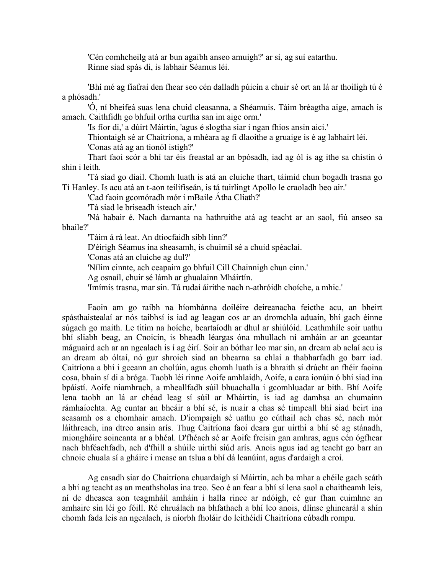'Cén comhcheilg atá ar bun agaibh anseo amuigh?' ar sí, ag suí eatarthu. Rinne siad spás di, is labhair Séamus léi.

'Bhí mé ag fiafraí den fhear seo cén dalladh púicín a chuir sé ort an lá ar thoiligh tú é a phósadh.'

'Ó, ní bheifeá suas lena chuid cleasanna, a Shéamuis. Táim bréagtha aige, amach is amach. Caithfidh go bhfuil ortha curtha san im aige orm.'

'Is fíor di,' a dúirt Máirtín, 'agus é slogtha siar i ngan fhios ansin aici.'

Thiontaigh sé ar Chaitríona, a mhéara ag fí dlaoithe a gruaige is é ag labhairt léi.

'Conas atá ag an tionól istigh?'

Thart faoi scór a bhí tar éis freastal ar an bpósadh, iad ag ól is ag ithe sa chistin ó shin i leith.

'Tá siad go diail. Chomh luath is atá an cluiche thart, táimid chun bogadh trasna go Tí Hanley. Is acu atá an t-aon teilifíseán, is tá tuirlingt Apollo le craoladh beo air.'

'Cad faoin gcomóradh mór i mBaile Átha Cliath?'

'Tá siad le briseadh isteach air.'

'Ná habair é. Nach damanta na hathruithe atá ag teacht ar an saol, fiú anseo sa bhaile?'

'Táim á rá leat. An dtiocfaidh sibh linn?'

D'éirigh Séamus ina sheasamh, is chuimil sé a chuid spéaclaí.

'Conas atá an cluiche ag dul?'

'Nílim cinnte, ach ceapaim go bhfuil Cill Chainnigh chun cinn.'

Ag osnaíl, chuir sé lámh ar ghualainn Mháirtín.

'Imímis trasna, mar sin. Tá rudaí áirithe nach n-athróidh choíche, a mhic.'

Faoin am go raibh na híomhánna doiléire deireanacha feicthe acu, an bheirt spásthaistealaí ar nós taibhsí is iad ag leagan cos ar an dromchla aduain, bhí gach éinne súgach go maith. Le titim na hoíche, beartaíodh ar dhul ar shiúlóid. Leathmhíle soir uathu bhí sliabh beag, an Cnoicín, is bheadh léargas óna mhullach ní amháin ar an gceantar máguaird ach ar an ngealach is í ag éirí. Soir an bóthar leo mar sin, an dream ab aclaí acu is an dream ab óltaí, nó gur shroich siad an bhearna sa chlaí a thabharfadh go barr iad. Caitríona a bhí i gceann an cholúin, agus chomh luath is a bhraith sí drúcht an fhéir faoina cosa, bhain sí di a bróga. Taobh léi rinne Aoife amhlaidh, Aoife, a cara ionúin ó bhí siad ina bpáistí. Aoife niamhrach, a mheallfadh súil bhuachalla i gcomhluadar ar bith. Bhí Aoife lena taobh an lá ar chéad leag sí súil ar Mháirtín, is iad ag damhsa an chumainn rámhaíochta. Ag cuntar an bheáir a bhí sé, is nuair a chas sé timpeall bhí siad beirt ina seasamh os a chomhair amach. D'iompaigh sé uathu go cúthail ach chas sé, nach mór láithreach, ina dtreo ansin arís. Thug Caitríona faoi deara gur uirthi a bhí sé ag stánadh, miongháire soineanta ar a bhéal. D'fhéach sé ar Aoife freisin gan amhras, agus cén ógfhear nach bhféachfadh, ach d'fhill a shúile uirthi siúd arís. Anois agus iad ag teacht go barr an chnoic chuala sí a gháire i measc an tslua a bhí dá leanúint, agus d'ardaigh a croí.

Ag casadh siar do Chaitríona chuardaigh sí Máirtín, ach ba mhar a chéile gach scáth a bhí ag teacht as an meathsholas ina treo. Seo é an fear a bhí sí lena saol a chaitheamh leis, ní de dheasca aon teagmháil amháin i halla rince ar ndóigh, cé gur fhan cuimhne an amhairc sin léi go fóill. Ré chruálach na bhfathach a bhí leo anois, dlínse ghinearál a shín chomh fada leis an ngealach, is níorbh fholáir do leithéidí Chaitríona cúbadh rompu.